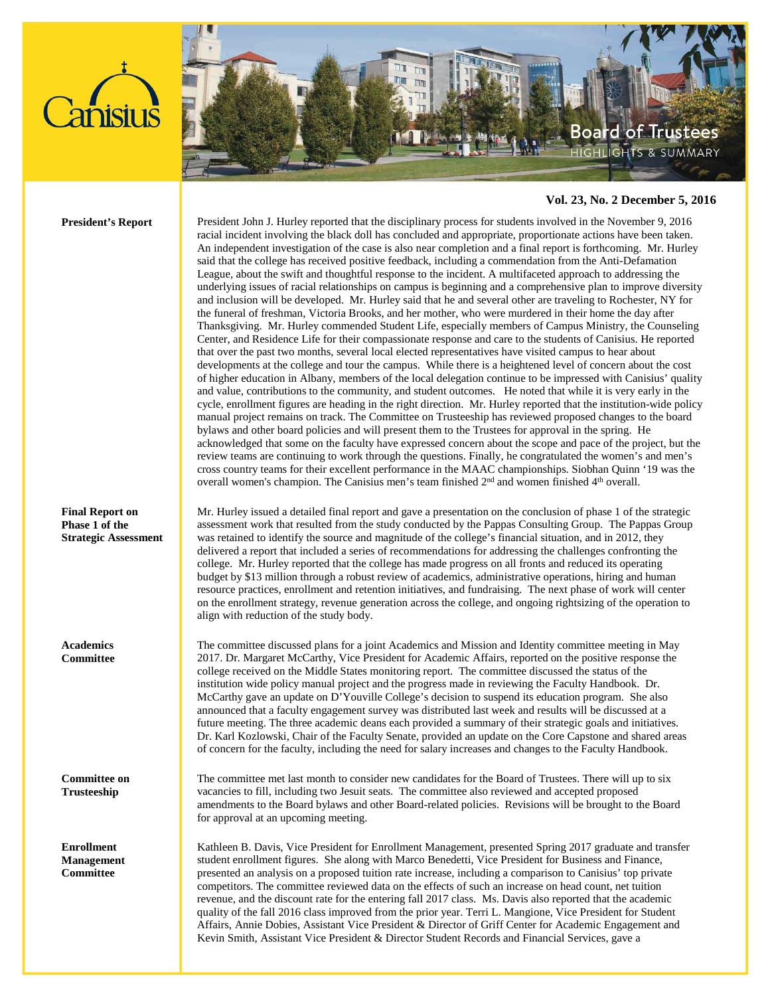



## **Vol. 23, No. 2 December 5, 2016**

**President's Report** President John J. Hurley reported that the disciplinary process for students involved in the November 9, 2016 racial incident involving the black doll has concluded and appropriate, proportionate actions have been taken. An independent investigation of the case is also near completion and a final report is forthcoming. Mr. Hurley said that the college has received positive feedback, including a commendation from the Anti-Defamation League, about the swift and thoughtful response to the incident. A multifaceted approach to addressing the underlying issues of racial relationships on campus is beginning and a comprehensive plan to improve diversity and inclusion will be developed. Mr. Hurley said that he and several other are traveling to Rochester, NY for the funeral of freshman, Victoria Brooks, and her mother, who were murdered in their home the day after Thanksgiving. Mr. Hurley commended Student Life, especially members of Campus Ministry, the Counseling Center, and Residence Life for their compassionate response and care to the students of Canisius. He reported that over the past two months, several local elected representatives have visited campus to hear about developments at the college and tour the campus. While there is a heightened level of concern about the cost of higher education in Albany, members of the local delegation continue to be impressed with Canisius' quality and value, contributions to the community, and student outcomes. He noted that while it is very early in the cycle, enrollment figures are heading in the right direction. Mr. Hurley reported that the institution-wide policy manual project remains on track. The Committee on Trusteeship has reviewed proposed changes to the board bylaws and other board policies and will present them to the Trustees for approval in the spring. He acknowledged that some on the faculty have expressed concern about the scope and pace of the project, but the review teams are continuing to work through the questions. Finally, he congratulated the women's and men's cross country teams for their excellent performance in the MAAC championships. Siobhan Quinn '19 was the overall women's champion. The Canisius men's team finished 2<sup>nd</sup> and women finished 4<sup>th</sup> overall.

> Mr. Hurley issued a detailed final report and gave a presentation on the conclusion of phase 1 of the strategic assessment work that resulted from the study conducted by the Pappas Consulting Group. The Pappas Group was retained to identify the source and magnitude of the college's financial situation, and in 2012, they delivered a report that included a series of recommendations for addressing the challenges confronting the college. Mr. Hurley reported that the college has made progress on all fronts and reduced its operating budget by \$13 million through a robust review of academics, administrative operations, hiring and human resource practices, enrollment and retention initiatives, and fundraising. The next phase of work will center on the enrollment strategy, revenue generation across the college, and ongoing rightsizing of the operation to align with reduction of the study body.

The committee discussed plans for a joint Academics and Mission and Identity committee meeting in May 2017. Dr. Margaret McCarthy, Vice President for Academic Affairs, reported on the positive response the college received on the Middle States monitoring report. The committee discussed the status of the institution wide policy manual project and the progress made in reviewing the Faculty Handbook. Dr. McCarthy gave an update on D'Youville College's decision to suspend its education program. She also announced that a faculty engagement survey was distributed last week and results will be discussed at a future meeting. The three academic deans each provided a summary of their strategic goals and initiatives. Dr. Karl Kozlowski, Chair of the Faculty Senate, provided an update on the Core Capstone and shared areas of concern for the faculty, including the need for salary increases and changes to the Faculty Handbook.

The committee met last month to consider new candidates for the Board of Trustees. There will up to six vacancies to fill, including two Jesuit seats. The committee also reviewed and accepted proposed amendments to the Board bylaws and other Board-related policies. Revisions will be brought to the Board for approval at an upcoming meeting.

Kathleen B. Davis, Vice President for Enrollment Management, presented Spring 2017 graduate and transfer student enrollment figures. She along with Marco Benedetti, Vice President for Business and Finance, presented an analysis on a proposed tuition rate increase, including a comparison to Canisius' top private competitors. The committee reviewed data on the effects of such an increase on head count, net tuition revenue, and the discount rate for the entering fall 2017 class. Ms. Davis also reported that the academic quality of the fall 2016 class improved from the prior year. Terri L. Mangione, Vice President for Student Affairs, Annie Dobies, Assistant Vice President & Director of Griff Center for Academic Engagement and Kevin Smith, Assistant Vice President & Director Student Records and Financial Services, gave a

**Final Report on Phase 1 of the** 

**Strategic Assessment**

**Academics Committee**

**Committee on Trusteeship**

**Enrollment Management Committee**